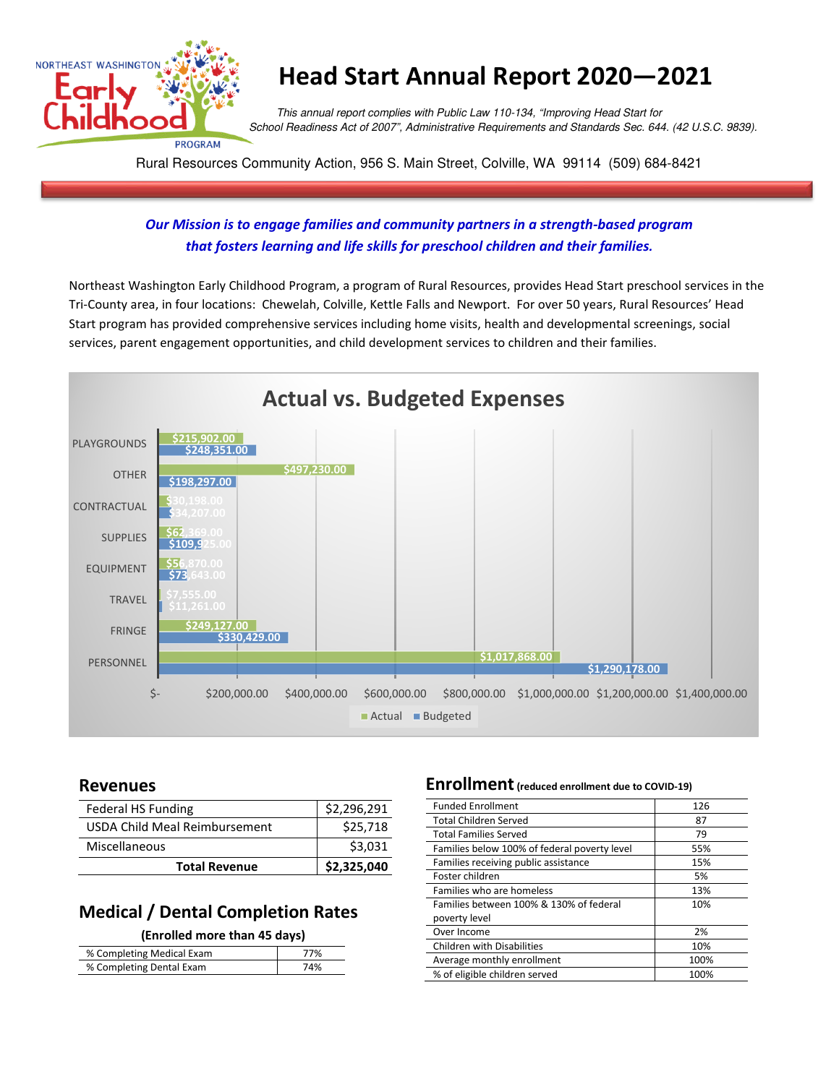

# **Head Start Annual Report 2020—2021**

 This annual report complies with Public Law 110-134, "Improving Head Start for School Readiness Act of 2007", Administrative Requirements and Standards Sec. 644. (42 U.S.C. 9839).

Rural Resources Community Action, 956 S. Main Street, Colville, WA 99114 (509) 684-8421

### *Our Mission is to engage families and community partners in a strength-based program that fosters learning and life skills for preschool children and their families.*

Northeast Washington Early Childhood Program, a program of Rural Resources, provides Head Start preschool services in the Tri-County area, in four locations: Chewelah, Colville, Kettle Falls and Newport. For over 50 years, Rural Resources' Head Start program has provided comprehensive services including home visits, health and developmental screenings, social services, parent engagement opportunities, and child development services to children and their families.



### **Revenues**

| Federal HS Funding            | \$2,296,291 |
|-------------------------------|-------------|
| USDA Child Meal Reimbursement | \$25,718    |
| Miscellaneous                 | \$3,031     |
| <b>Total Revenue</b>          | \$2,325,040 |

### **Medical / Dental Completion Rates**

#### **(Enrolled more than 45 days)**

| % Completing Medical Exam | '7% |
|---------------------------|-----|
| % Completing Dental Exam  | 74% |
|                           |     |

### **Enrollment(reduced enrollment due to COVID-19)**

| <b>Funded Enrollment</b>                     | 126  |
|----------------------------------------------|------|
| <b>Total Children Served</b>                 | 87   |
| <b>Total Families Served</b>                 | 79   |
| Families below 100% of federal poverty level | 55%  |
| Families receiving public assistance         | 15%  |
| Foster children                              | 5%   |
| Families who are homeless                    | 13%  |
| Families between 100% & 130% of federal      | 10%  |
| poverty level                                |      |
| Over Income                                  | 2%   |
| <b>Children with Disabilities</b>            | 10%  |
| Average monthly enrollment                   | 100% |
| % of eligible children served                | 100% |